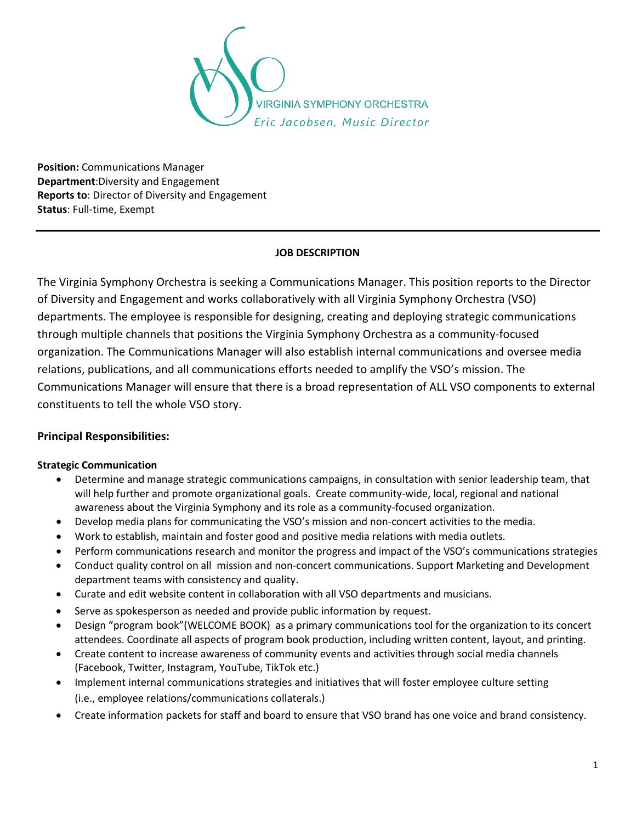

**Position:** Communications Manager **Department**:Diversity and Engagement **Reports to**: Director of Diversity and Engagement **Status**: Full-time, Exempt

#### **JOB DESCRIPTION**

The Virginia Symphony Orchestra is seeking a Communications Manager. This position reports to the Director of Diversity and Engagement and works collaboratively with all Virginia Symphony Orchestra (VSO) departments. The employee is responsible for designing, creating and deploying strategic communications through multiple channels that positions the Virginia Symphony Orchestra as a community-focused organization. The Communications Manager will also establish internal communications and oversee media relations, publications, and all communications efforts needed to amplify the VSO's mission. The Communications Manager will ensure that there is a broad representation of ALL VSO components to external constituents to tell the whole VSO story.

# **Principal Responsibilities:**

#### **Strategic Communication**

- Determine and manage strategic communications campaigns, in consultation with senior leadership team, that will help further and promote organizational goals. Create community-wide, local, regional and national awareness about the Virginia Symphony and its role as a community-focused organization.
- Develop media plans for communicating the VSO's mission and non-concert activities to the media.
- Work to establish, maintain and foster good and positive media relations with media outlets.
- Perform communications research and monitor the progress and impact of the VSO's communications strategies
- Conduct quality control on all mission and non-concert communications. Support Marketing and Development department teams with consistency and quality.
- Curate and edit website content in collaboration with all VSO departments and musicians.
- Serve as spokesperson as needed and provide public information by request.
- Design "program book"(WELCOME BOOK) as a primary communications tool for the organization to its concert attendees. Coordinate all aspects of program book production, including written content, layout, and printing.
- Create content to increase awareness of community events and activities through social media channels (Facebook, Twitter, Instagram, YouTube, TikTok etc.)
- Implement internal communications strategies and initiatives that will foster employee culture setting (i.e., employee relations/communications collaterals.)
- Create information packets for staff and board to ensure that VSO brand has one voice and brand consistency.